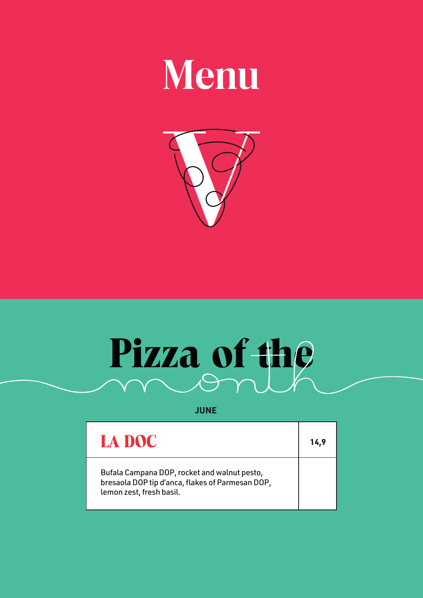## **Menu**



# Pizza of the

**JUNE**

| LA DOC                                                                                                                       | 14.9 |
|------------------------------------------------------------------------------------------------------------------------------|------|
| Bufala Campana DOP, rocket and walnut pesto,<br>bresaola DOP tip d'anca, flakes of Parmesan DOP,<br>lemon zest, fresh basil. |      |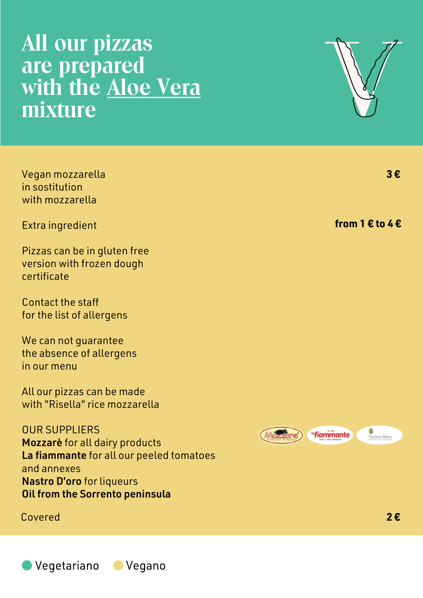### **All our pizzas are prepared with the Aloe Vera mixture**

Vegan mozzarella in sostitution with mozzarella

Extra ingredient

Pizzas can be in gluten free version with frozen dough certificate

Contact the staff for the list of allergens

We can not guarantee the absence of allergens in our menu

All our pizzas can be made with "Risella" rice mozzarella

OUR SUPPLIERS Mozzarè for all dairy products La fiammante for all our peeled tomatoes and annexes Nastro D'oro for liqueurs Oil from the Sorrento peninsula

Covered **2 €**





**3 €**

**from 1 € to 4 €**

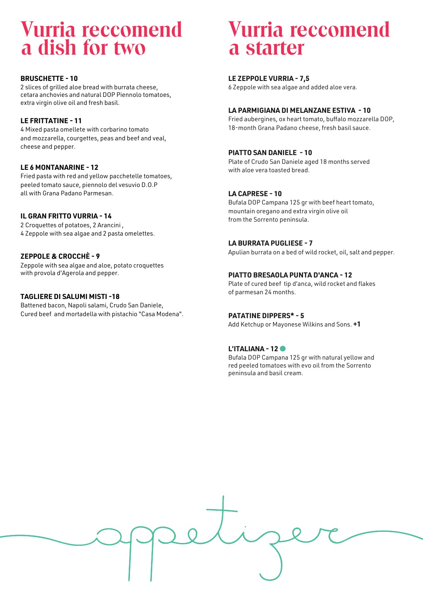### **Vurria reccomend a dish for two**

#### **BRUSCHETTE - 10**

2 slices of grilled aloe bread with burrata cheese, cetara anchovies and natural DOP Piennolo tomatoes, extra virgin olive oil and fresh basil.

#### **LE FRITTATINE - 11**

4 Mixed pasta omellete with corbarino tomato and mozzarella, courgettes, peas and beef and veal, cheese and pepper.

#### **LE 6 MONTANARINE - 12**

Fried pasta with red and yellow pacchetelle tomatoes, peeled tomato sauce, piennolo del vesuvio D.O.P all with Grana Padano Parmesan.

#### **IL GRAN FRITTO VURRIA - 14**

2 Croquettes of potatoes, 2 Arancini , 4 Zeppole with sea algae and 2 pasta omelettes.

#### **ZEPPOLE & CROCCHÈ - 9**

Zeppole with sea algae and aloe, potato croquettes with provola d'Agerola and pepper.

#### **TAGLIERE DI SALUMI MISTI -18**

Battened bacon, Napoli salami, Crudo San Daniele, Cured beef and mortadella with pistachio "Casa Modena".

### **Vurria reccomend a starter**

#### **LE ZEPPOLE VURRIA - 7,5**

6 Zeppole with sea algae and added aloe vera.

#### **LA PARMIGIANA DI MELANZANE ESTIVA - 10**

Fried aubergines, ox heart tomato, buffalo mozzarella DOP, 18-month Grana Padano cheese, fresh basil sauce.

#### **PIATTO SAN DANIELE - 10**

Plate of Crudo San Daniele aged 18 months served with aloe vera toasted bread.

#### **LA CAPRESE - 10**

Bufala DOP Campana 125 gr with beef heart tomato, mountain oregano and extra virgin olive oil from the Sorrento peninsula.

#### **LA BURRATA PUGLIESE - 7**

Apulian burrata on a bed of wild rocket, oil, salt and pepper.

#### **PIATTO BRESAOLA PUNTA D'ANCA - 12**

Plate of cured beef tip d'anca, wild rocket and flakes of parmesan 24 months.

#### **PATATINE DIPPERS\* - 5**

Add Ketchup or Mayonese Wilkins and Sons. **+1**

#### **L'ITALIANA - 12**

Bufala DOP Campana 125 gr with natural yellow and red peeled tomatoes with evo oil from the Sorrento peninsula and basil cream.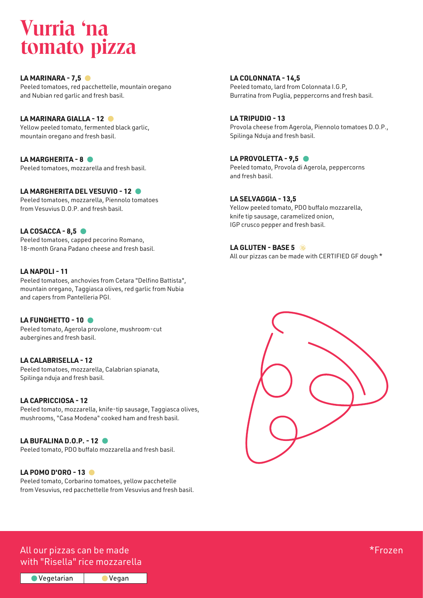### **Vurria 'na tomato pizza**

**LA MARINARA - 7,5** Peeled tomatoes, red pacchettelle, mountain oregano and Nubian red garlic and fresh basil.

#### **LA MARINARA GIALLA - 12**

Yellow peeled tomato, fermented black garlic, mountain oregano and fresh basil.

#### **LA MARGHERITA - 8**

Peeled tomatoes, mozzarella and fresh basil.

#### **LA MARGHERITA DEL VESUVIO - 12**

Peeled tomatoes, mozzarella, Piennolo tomatoes from Vesuvius D.O.P. and fresh basil.

#### **LA COSACCA - 8,5**

Peeled tomatoes, capped pecorino Romano, 18-month Grana Padano cheese and fresh basil.

#### **LA NAPOLI - 11**

Peeled tomatoes, anchovies from Cetara "Delfino Battista", mountain oregano, Taggiasca olives, red garlic from Nubia and capers from Pantelleria PGI.

#### LA FUNGHETTO - 10<sup>0</sup>

Peeled tomato, Agerola provolone, mushroom-cut aubergines and fresh basil.

**LA CALABRISELLA - 12** Peeled tomatoes, mozzarella, Calabrian spianata, Spilinga nduja and fresh basil.

#### **LA CAPRICCIOSA - 12**

Peeled tomato, mozzarella, knife-tip sausage, Taggiasca olives, mushrooms, "Casa Modena" cooked ham and fresh basil.

#### **LA BUFALINA D.O.P. - 12**

Peeled tomato, PDO buffalo mozzarella and fresh basil.

#### **LA POMO D'ORO - 13**

Peeled tomato, Corbarino tomatoes, yellow pacchetelle from Vesuvius, red pacchettelle from Vesuvius and fresh basil.

Vegan

**LA COLONNATA - 14,5** Peeled tomato, lard from Colonnata I.G.P, Burratina from Puglia, peppercorns and fresh basil.

**LA TRIPUDIO - 13** Provola cheese from Agerola, Piennolo tomatoes D.O.P., Spilinga Nduja and fresh basil.

#### LA PROVOLETTA - 9,5

Peeled tomato, Provola di Agerola, peppercorns and fresh basil.

#### **LA SELVAGGIA - 13,5**

Yellow peeled tomato, PDO buffalo mozzarella, knife tip sausage, caramelized onion, IGP crusco pepper and fresh basil.

#### **LA GLUTEN - BASE 5**

All our pizzas can be made with CERTIFIED GF dough \*



#### All our pizzas can be made the second service of the service of the service of the service of the service of the with "Risella" rice mozzarella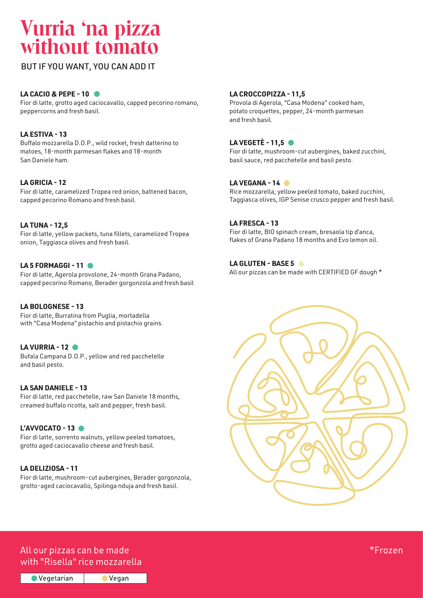### **Vurria 'na pizza without tomato**

BUT IF YOU WANT, YOU CAN ADD IT

#### **LA CACIO & PEPE - 10**

Fior di latte, grotto aged caciocavallo, capped pecorino romano, peppercorns and fresh basil.

#### **LA ESTIVA - 13**

Buffalo mozzarella D.O.P., wild rocket, fresh datterino to matoes, 18-month parmesan flakes and 18-month San Daniele ham.

#### **LA GRICIA - 12**

Fior di latte, caramelized Tropea red onion, battened bacon, capped pecorino Romano and fresh basil.

#### **LA TUNA - 12,5**

Fior di latte, yellow packets, tuna fillets, caramelized Tropea onion, Taggiasca olives and fresh basil.

#### **LA 5 FORMAGGI - 11**

Fior di latte, Agerola provolone, 24-month Grana Padano, capped pecorino Romano, Berader gorgonzola and fresh basil

#### **LA BOLOGNESE - 13**

Fior di latte, Burratina from Puglia, mortadella with "Casa Modena" pistachio and pistachio grains.

#### **LA VURRIA - 12**

Bufala Campana D.O.P., yellow and red pacchetelle and basil pesto.

#### **LA SAN DANIELE - 13**

Fior di latte, red pacchetelle, raw San Daniele 18 months, creamed buffalo ricotta, salt and pepper, fresh basil.

#### **L'AVVOCATO - 13**

Fior di latte, sorrento walnuts, yellow peeled tomatoes, grotto aged caciocavallo cheese and fresh basil.

#### **LA DELIZIOSA - 11**

Fior di latte, mushroom-cut aubergines, Berader gorgonzola, grotto-aged caciocavallo, Spilinga nduja and fresh basil.

#### **LA CROCCOPIZZA - 11,5**

Provola di Agerola, "Casa Modena" cooked ham, potato croquettes, pepper, 24-month parmesan and fresh basil.

#### **LA VEGETÈ - 11,5**

Fior di latte, mushroom-cut aubergines, baked zucchini, basil sauce, red pacchetelle and basil pesto.

#### **LA VEGANA - 14**

Rice mozzarella, yellow peeled tomato, baked zucchini, Taggiasca olives, IGP Senise crusco pepper and fresh basil.

#### **LA FRESCA - 13**

Fior di latte, BIO spinach cream, bresaola tip d'anca, flakes of Grana Padano 18 months and Evo lemon oil.

#### **LA GLUTEN - BASE 5**

All our pizzas can be made with CERTIFIED GF dough \*



#### All our pizzas can be made the state of the state of the state of the state of the state  $\star$ Frozen with "Risella" rice mozzarella

● Vegetarian Vegan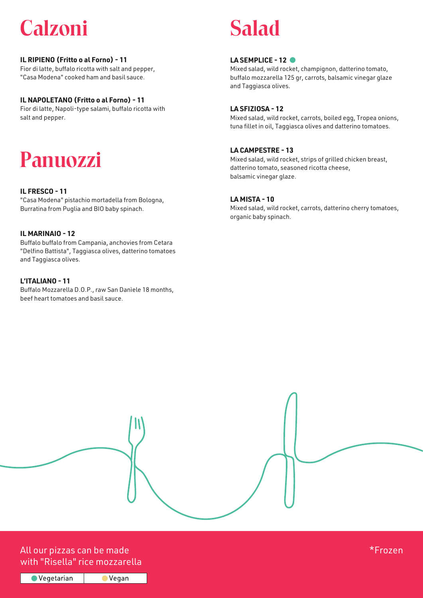### **Calzoni**

#### **IL RIPIENO (Fritto o al Forno) - 11**

Fior di latte, buffalo ricotta with salt and pepper, "Casa Modena" cooked ham and basil sauce.

#### **IL NAPOLETANO (Fritto o al Forno) - 11**

Fior di latte, Napoli-type salami, buffalo ricotta with salt and pepper.

### **Panuozzi**

#### **IL FRESCO - 11**

"Casa Modena" pistachio mortadella from Bologna, Burratina from Puglia and BIO baby spinach.

#### **IL MARINAIO - 12**

Buffalo buffalo from Campania, anchovies from Cetara "Delfino Battista", Taggiasca olives, datterino tomatoes and Taggiasca olives.

#### **L'ITALIANO - 11**

Buffalo Mozzarella D.O.P., raw San Danìele 18 months, beef heart tomatoes and basil sauce.

### **Salad**

#### LA SEMPLICE - 12<sup>0</sup>

Mixed salad, wild rocket, champignon, datterino tomato, buffalo mozzarella 125 gr, carrots, balsamic vinegar glaze and Taggiasca olives.

#### **LA SFIZIOSA - 12**

Mixed salad, wild rocket, carrots, boiled egg, Tropea onions, tuna fillet in oil, Taggiasca olives and datterino tomatoes.

#### **LA CAMPESTRE - 13**

Mixed salad, wild rocket, strips of grilled chicken breast, datterino tomato, seasoned ricotta cheese, balsamic vinegar glaze.

#### **LA MISTA - 10**

Mixed salad, wild rocket, carrots, datterino cherry tomatoes, organic baby spinach.

#### All our pizzas can be made the state of the state of the state of the state of the state  $\star$ Frozen with "Risella" rice mozzarella

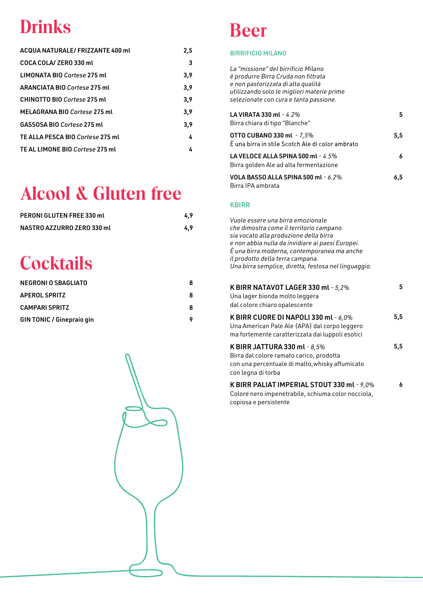### **Drinks**

| 2,5 |
|-----|
| 3   |
| 3,9 |
| 3,9 |
| 3,9 |
| 3,9 |
| 3,9 |
| 4   |
| 4   |
|     |

### **Alcool & Gluten free**

| <b>PERONI GLUTEN FREE 330 mL</b> | 4.9 |
|----------------------------------|-----|
| NASTRO AZZURRO ZERO 330 ml       | 4.9 |

### **Cocktails**

| <b>NEGRONI O SBAGLIATO</b>       | Я |
|----------------------------------|---|
| <b>APEROL SPRITZ</b>             | Я |
| <b>CAMPARI SPRITZ</b>            | Я |
| <b>GIN TONIC / Ginepraio gin</b> |   |

### **Beer**

#### BIRRIFICIO MILANO

| La "missione" del birrificio Milano<br>è produrre Birra Cruda non filtrata<br>e non pastorizzata di alta qualità<br>utilizzando solo le migliori materie prime<br>selezionate con cura e tanta passione.                                                                                                              |     |
|-----------------------------------------------------------------------------------------------------------------------------------------------------------------------------------------------------------------------------------------------------------------------------------------------------------------------|-----|
| LA VIRATA 330 ml - 4.2%<br>Birra chiara di tipo "Blanche"                                                                                                                                                                                                                                                             | 5   |
| <b>OTTO CUBANO 330 ml - 7,5%</b><br>È una birra in stile Scotch Ale di color ambrato                                                                                                                                                                                                                                  | 5,5 |
| LA VELOCE ALLA SPINA 500 ml - $4.5\%$<br>Birra golden Ale ad alta fermentazione                                                                                                                                                                                                                                       | 6   |
| <b>VOLA BASSO ALLA SPINA 500 ml - 6.2%</b><br>Birra IPA ambrata                                                                                                                                                                                                                                                       | 6,5 |
| <b>KBIRR</b>                                                                                                                                                                                                                                                                                                          |     |
| Vuole essere una birra emozionale<br>che dimostra come il territorio campano<br>sia vocato alla produzione della birra<br>e non abbia nulla da invidiare ai paesi Europei.<br>E una birra moderna, contemporanea ma anche<br>il prodotto della terra campana.<br>Una birra semplice, diretta, festosa nel linguaggio. |     |
| K BIRR NATAVOT LAGER 330 ml - 5,2%<br>Una lager bionda molto leggera<br>dal colore chiaro opalescente                                                                                                                                                                                                                 | 5   |
| K BIRR CUORE DI NAPOLI 330 ml - $6,0\%$<br>Una American Pale Ale (APA) dal corpo leggero<br>ma fortemente caratterizzata dai luppoli esotici                                                                                                                                                                          | 5,5 |
| K BIRR JATTURA 330 ml - $8,5\%$<br>Birra dal colore ramato carico, prodotta<br>con una percentuale di malto, whisky affumicato<br>con legna di torba                                                                                                                                                                  | 5,5 |
| K BIRR PALIAT IMPERIAL STOUT 330 ml - 9,0%<br>Colore nero impenetrabile, schiuma color nocciola,<br>copiosa e persistente                                                                                                                                                                                             | 6   |